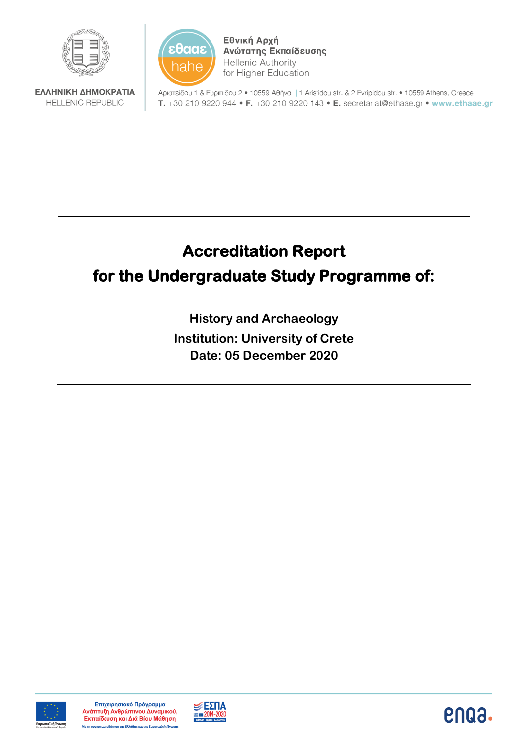



Εθνική Αρχή Ανώτατης Εκπαίδευσης **Hellenic Authority** for Higher Education

ΕΛΛΗΝΙΚΗ ΔΗΜΟΚΡΑΤΙΑ **HELLENIC REPUBLIC** 

Αριστείδου 1 & Ευριπίδου 2 · 10559 Αθήνα | 1 Aristidou str. & 2 Evripidou str. • 10559 Athens, Greece T. +30 210 9220 944 • F. +30 210 9220 143 • E. secretariat@ethaae.gr • www.ethaae.gr

# **Accreditation Report for the Undergraduate Study Programme of:**

**History and Archaeology Institution: University of Crete Date: 05 December 2020**





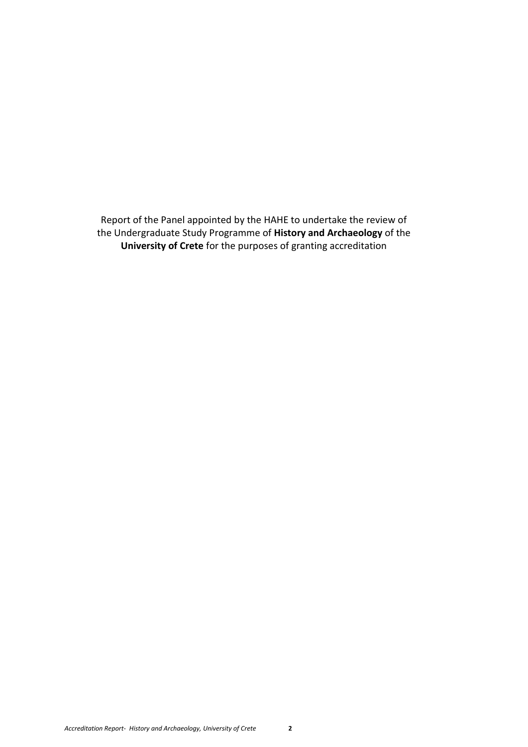Report of the Panel appointed by the HAHE to undertake the review of the Undergraduate Study Programme of **History and Archaeology** of the **University of Crete** for the purposes of granting accreditation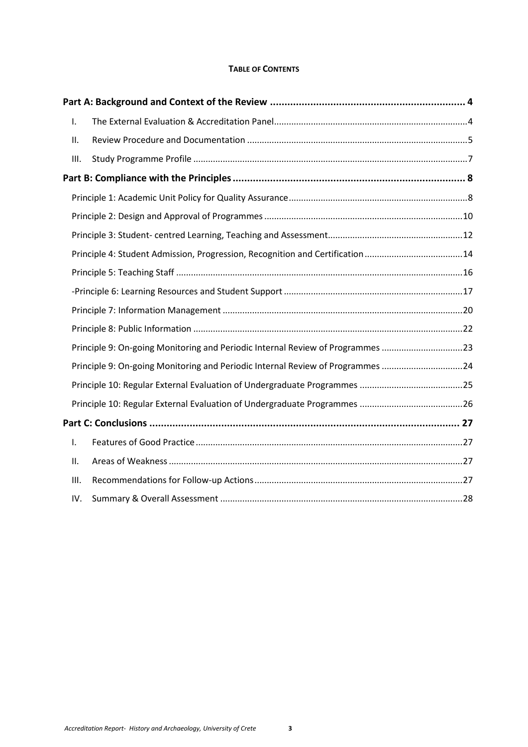## **TABLE OF CONTENTS**

| I.   |                                                                                |  |
|------|--------------------------------------------------------------------------------|--|
| ΙΙ.  |                                                                                |  |
| III. |                                                                                |  |
|      |                                                                                |  |
|      |                                                                                |  |
|      |                                                                                |  |
|      |                                                                                |  |
|      | Principle 4: Student Admission, Progression, Recognition and Certification14   |  |
|      |                                                                                |  |
|      |                                                                                |  |
|      |                                                                                |  |
|      |                                                                                |  |
|      | Principle 9: On-going Monitoring and Periodic Internal Review of Programmes 23 |  |
|      | Principle 9: On-going Monitoring and Periodic Internal Review of Programmes 24 |  |
|      |                                                                                |  |
|      |                                                                                |  |
|      |                                                                                |  |
| I.   |                                                                                |  |
| ΙΙ.  |                                                                                |  |
| III. |                                                                                |  |
| IV.  |                                                                                |  |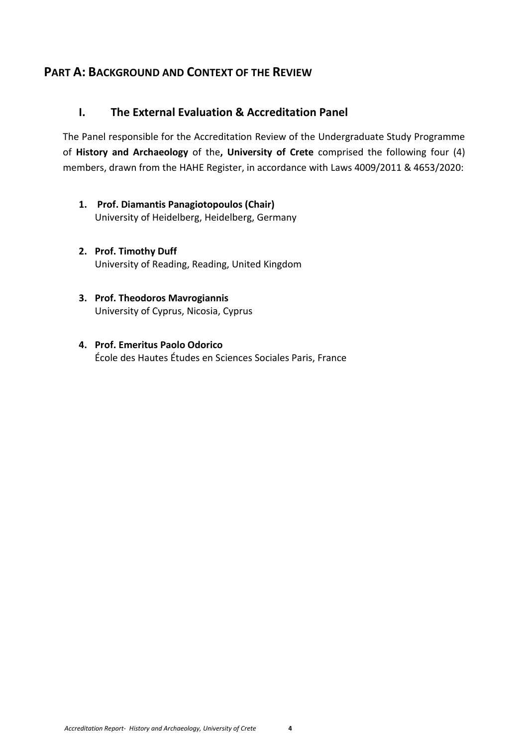# <span id="page-3-0"></span>**PART A: BACKGROUND AND CONTEXT OF THE REVIEW**

# <span id="page-3-1"></span>**I. The External Evaluation & Accreditation Panel**

The Panel responsible for the Accreditation Review of the Undergraduate Study Programme of **History and Archaeology** of the**, University of Crete** comprised the following four (4) members, drawn from the HAHE Register, in accordance with Laws 4009/2011 & 4653/2020:

- **1. Prof. Diamantis Panagiotopoulos (Chair)** University of Heidelberg, Heidelberg, Germany
- **2. Prof. Timothy Duff** University of Reading, Reading, United Kingdom
- **3. Prof. Theodoros Mavrogiannis** University of Cyprus, Nicosia, Cyprus
- **4. Prof. Emeritus Paolo Odorico**  École des Hautes Études en Sciences Sociales Paris, France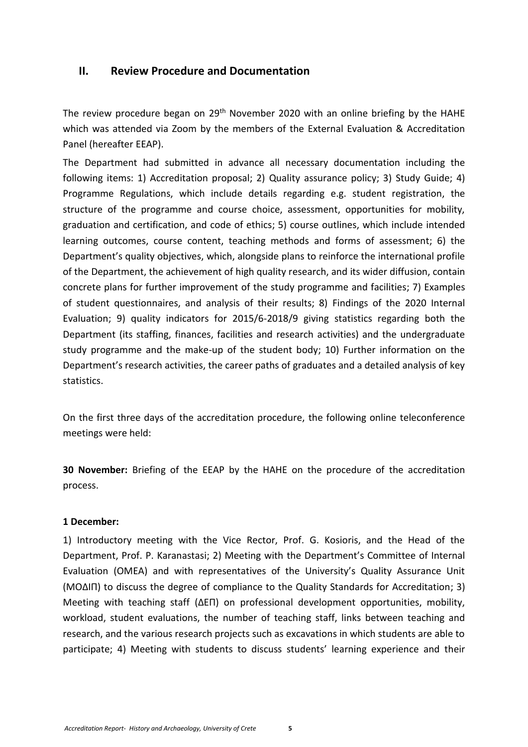## <span id="page-4-0"></span>**II. Review Procedure and Documentation**

The review procedure began on 29<sup>th</sup> November 2020 with an online briefing by the HAHE which was attended via Zoom by the members of the External Evaluation & Accreditation Panel (hereafter EEAP).

The Department had submitted in advance all necessary documentation including the following items: 1) Accreditation proposal; 2) Quality assurance policy; 3) Study Guide; 4) Programme Regulations, which include details regarding e.g. student registration, the structure of the programme and course choice, assessment, opportunities for mobility, graduation and certification, and code of ethics; 5) course outlines, which include intended learning outcomes, course content, teaching methods and forms of assessment; 6) the Department's quality objectives, which, alongside plans to reinforce the international profile of the Department, the achievement of high quality research, and its wider diffusion, contain concrete plans for further improvement of the study programme and facilities; 7) Examples of student questionnaires, and analysis of their results; 8) Findings of the 2020 Internal Evaluation; 9) quality indicators for 2015/6-2018/9 giving statistics regarding both the Department (its staffing, finances, facilities and research activities) and the undergraduate study programme and the make-up of the student body; 10) Further information on the Department's research activities, the career paths of graduates and a detailed analysis of key statistics.

On the first three days of the accreditation procedure, the following online teleconference meetings were held:

**30 November:** Briefing of the EEAP by the HAHE on the procedure of the accreditation process.

## **1 December:**

1) Introductory meeting with the Vice Rector, Prof. G. Kosioris, and the Head of the Department, Prof. P. Karanastasi; 2) Meeting with the Department's Committee of Internal Evaluation (ΟΜΕΑ) and with representatives of the University's Quality Assurance Unit (ΜΟΔΙΠ) to discuss the degree of compliance to the Quality Standards for Accreditation; 3) Meeting with teaching staff (ΔΕΠ) on professional development opportunities, mobility, workload, student evaluations, the number of teaching staff, links between teaching and research, and the various research projects such as excavations in which students are able to participate; 4) Meeting with students to discuss students' learning experience and their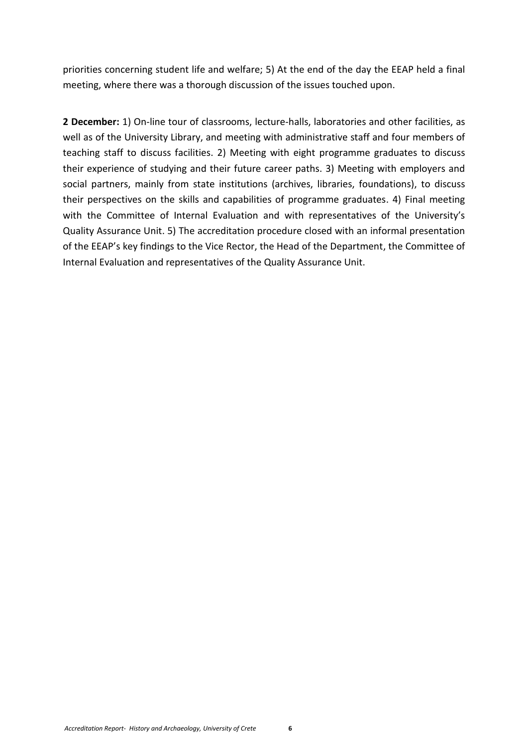priorities concerning student life and welfare; 5) At the end of the day the EEAP held a final meeting, where there was a thorough discussion of the issues touched upon.

**2 December:** 1) On-line tour of classrooms, lecture-halls, laboratories and other facilities, as well as of the University Library, and meeting with administrative staff and four members of teaching staff to discuss facilities. 2) Meeting with eight programme graduates to discuss their experience of studying and their future career paths. 3) Meeting with employers and social partners, mainly from state institutions (archives, libraries, foundations), to discuss their perspectives on the skills and capabilities of programme graduates. 4) Final meeting with the Committee of Internal Evaluation and with representatives of the University's Quality Assurance Unit. 5) The accreditation procedure closed with an informal presentation of the EEAP's key findings to the Vice Rector, the Head of the Department, the Committee of Internal Evaluation and representatives of the Quality Assurance Unit.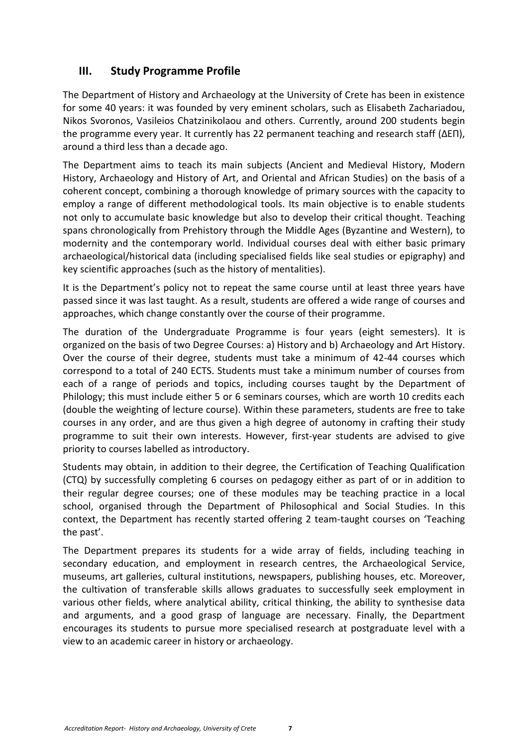# <span id="page-6-0"></span>**III. Study Programme Profile**

The Department of History and Archaeology at the University of Crete has been in existence for some 40 years: it was founded by very eminent scholars, such as Elisabeth Zachariadou, Nikos Svoronos, Vasileios Chatzinikolaou and others. Currently, around 200 students begin the programme every year. It currently has 22 permanent teaching and research staff (ΔΕΠ), around a third less than a decade ago.

The Department aims to teach its main subjects (Ancient and Medieval History, Modern History, Archaeology and History of Art, and Oriental and African Studies) on the basis of a coherent concept, combining a thorough knowledge of primary sources with the capacity to employ a range of different methodological tools. Its main objective is to enable students not only to accumulate basic knowledge but also to develop their critical thought. Teaching spans chronologically from Prehistory through the Middle Ages (Byzantine and Western), to modernity and the contemporary world. Individual courses deal with either basic primary archaeological/historical data (including specialised fields like seal studies or epigraphy) and key scientific approaches (such as the history of mentalities).

It is the Department's policy not to repeat the same course until at least three years have passed since it was last taught. As a result, students are offered a wide range of courses and approaches, which change constantly over the course of their programme.

The duration of the Undergraduate Programme is four years (eight semesters). It is organized on the basis of two Degree Courses: a) History and b) Archaeology and Art History. Over the course of their degree, students must take a minimum of 42-44 courses which correspond to a total of 240 ECTS. Students must take a minimum number of courses from each of a range of periods and topics, including courses taught by the Department of Philology; this must include either 5 or 6 seminars courses, which are worth 10 credits each (double the weighting of lecture course). Within these parameters, students are free to take courses in any order, and are thus given a high degree of autonomy in crafting their study programme to suit their own interests. However, first-year students are advised to give priority to courses labelled as introductory.

Students may obtain, in addition to their degree, the Certification of Teaching Qualification (CTQ) by successfully completing 6 courses on pedagogy either as part of or in addition to their regular degree courses; one of these modules may be teaching practice in a local school, organised through the Department of Philosophical and Social Studies. In this context, the Department has recently started offering 2 team-taught courses on 'Teaching the past'.

The Department prepares its students for a wide array of fields, including teaching in secondary education, and employment in research centres, the Archaeological Service, museums, art galleries, cultural institutions, newspapers, publishing houses, etc. Moreover, the cultivation of transferable skills allows graduates to successfully seek employment in various other fields, where analytical ability, critical thinking, the ability to synthesise data and arguments, and a good grasp of language are necessary. Finally, the Department encourages its students to pursue more specialised research at postgraduate level with a view to an academic career in history or archaeology.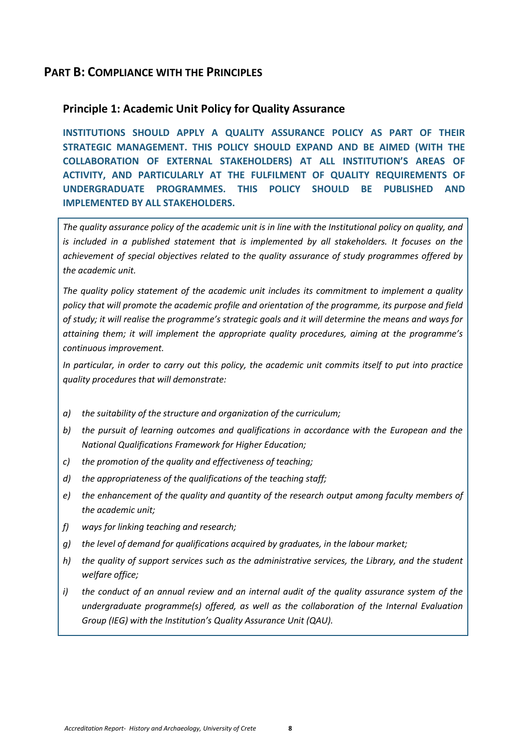# <span id="page-7-0"></span>**PART B: COMPLIANCE WITH THE PRINCIPLES**

## <span id="page-7-1"></span>**Principle 1: Academic Unit Policy for Quality Assurance**

**INSTITUTIONS SHOULD APPLY A QUALITY ASSURANCE POLICY AS PART OF THEIR STRATEGIC MANAGEMENT. THIS POLICY SHOULD EXPAND AND BE AIMED (WITH THE COLLABORATION OF EXTERNAL STAKEHOLDERS) AT ALL INSTITUTION'S AREAS OF ACTIVITY, AND PARTICULARLY AT THE FULFILMENT OF QUALITY REQUIREMENTS OF UNDERGRADUATE PROGRAMMES. THIS POLICY SHOULD BE PUBLISHED AND IMPLEMENTED BY ALL STAKEHOLDERS.**

*The quality assurance policy of the academic unit is in line with the Institutional policy on quality, and is included in a published statement that is implemented by all stakeholders. It focuses on the achievement of special objectives related to the quality assurance of study programmes offered by the academic unit.*

*The quality policy statement of the academic unit includes its commitment to implement a quality policy that will promote the academic profile and orientation of the programme, its purpose and field of study; it will realise the programme's strategic goals and it will determine the means and ways for attaining them; it will implement the appropriate quality procedures, aiming at the programme's continuous improvement.*

*In particular, in order to carry out this policy, the academic unit commits itself to put into practice quality procedures that will demonstrate:*

- *a) the suitability of the structure and organization of the curriculum;*
- *b) the pursuit of learning outcomes and qualifications in accordance with the European and the National Qualifications Framework for Higher Education;*
- *c) the promotion of the quality and effectiveness of teaching;*
- *d) the appropriateness of the qualifications of the teaching staff;*
- *e) the enhancement of the quality and quantity of the research output among faculty members of the academic unit;*
- *f) ways for linking teaching and research;*
- *g) the level of demand for qualifications acquired by graduates, in the labour market;*
- *h) the quality of support services such as the administrative services, the Library, and the student welfare office;*
- *i) the conduct of an annual review and an internal audit of the quality assurance system of the undergraduate programme(s) offered, as well as the collaboration of the Internal Evaluation Group (IEG) with the Institution's Quality Assurance Unit (QAU).*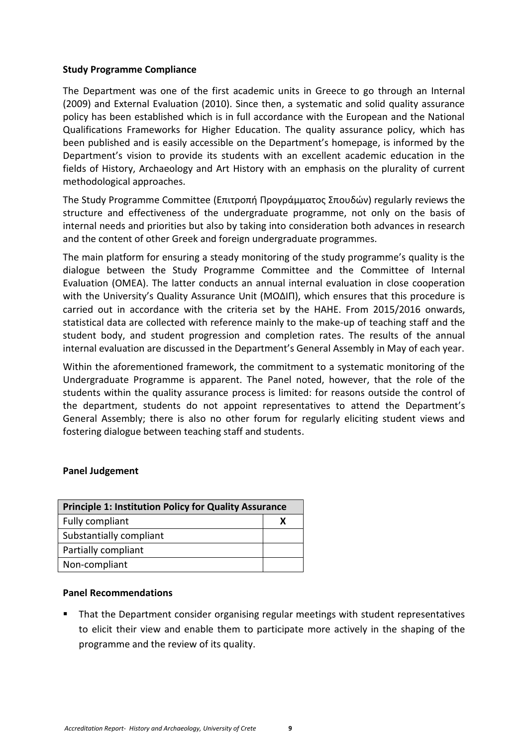## **Study Programme Compliance**

The Department was one of the first academic units in Greece to go through an Internal (2009) and External Evaluation (2010). Since then, a systematic and solid quality assurance policy has been established which is in full accordance with the European and the National Qualifications Frameworks for Higher Education. The quality assurance policy, which has been published and is easily accessible on the Department's homepage, is informed by the Department's vision to provide its students with an excellent academic education in the fields of History, Archaeology and Art History with an emphasis on the plurality of current methodological approaches.

The Study Programme Committee (Επιτροπή Προγράμματος Σπουδών) regularly reviews the structure and effectiveness of the undergraduate programme, not only on the basis of internal needs and priorities but also by taking into consideration both advances in research and the content of other Greek and foreign undergraduate programmes.

The main platform for ensuring a steady monitoring of the study programme's quality is the dialogue between the Study Programme Committee and the Committee of Internal Evaluation (OMEA). The latter conducts an annual internal evaluation in close cooperation with the University's Quality Assurance Unit (ΜΟΔΙΠ), which ensures that this procedure is carried out in accordance with the criteria set by the HAHE. From 2015/2016 onwards, statistical data are collected with reference mainly to the make-up of teaching staff and the student body, and student progression and completion rates. The results of the annual internal evaluation are discussed in the Department's General Assembly in May of each year.

Within the aforementioned framework, the commitment to a systematic monitoring of the Undergraduate Programme is apparent. The Panel noted, however, that the role of the students within the quality assurance process is limited: for reasons outside the control of the department, students do not appoint representatives to attend the Department's General Assembly; there is also no other forum for regularly eliciting student views and fostering dialogue between teaching staff and students.

## **Panel Judgement**

| <b>Principle 1: Institution Policy for Quality Assurance</b> |  |
|--------------------------------------------------------------|--|
| Fully compliant                                              |  |
| Substantially compliant                                      |  |
| Partially compliant                                          |  |
| Non-compliant                                                |  |

## **Panel Recommendations**

 That the Department consider organising regular meetings with student representatives to elicit their view and enable them to participate more actively in the shaping of the programme and the review of its quality.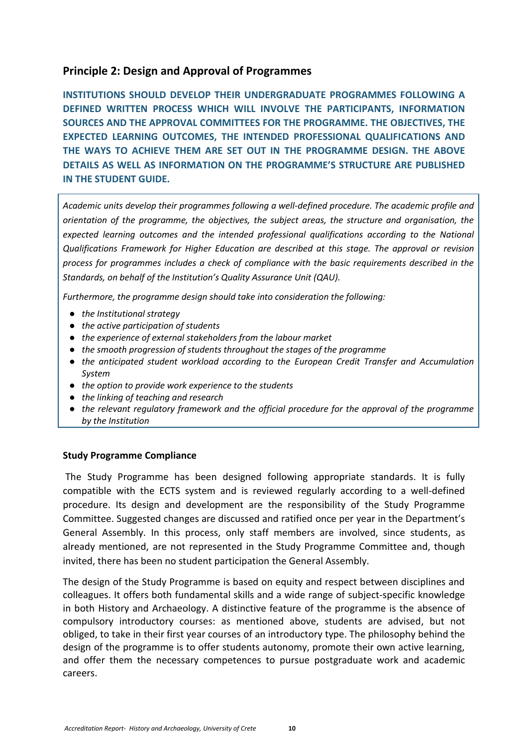## <span id="page-9-0"></span>**Principle 2: Design and Approval of Programmes**

**INSTITUTIONS SHOULD DEVELOP THEIR UNDERGRADUATE PROGRAMMES FOLLOWING A DEFINED WRITTEN PROCESS WHICH WILL INVOLVE THE PARTICIPANTS, INFORMATION SOURCES AND THE APPROVAL COMMITTEES FOR THE PROGRAMME. THE OBJECTIVES, THE EXPECTED LEARNING OUTCOMES, THE INTENDED PROFESSIONAL QUALIFICATIONS AND THE WAYS TO ACHIEVE THEM ARE SET OUT IN THE PROGRAMME DESIGN. THE ABOVE DETAILS AS WELL AS INFORMATION ON THE PROGRAMME'S STRUCTURE ARE PUBLISHED IN THE STUDENT GUIDE.**

*Academic units develop their programmes following a well-defined procedure. The academic profile and orientation of the programme, the objectives, the subject areas, the structure and organisation, the expected learning outcomes and the intended professional qualifications according to the National Qualifications Framework for Higher Education are described at this stage. The approval or revision process for programmes includes a check of compliance with the basic requirements described in the Standards, on behalf of the Institution's Quality Assurance Unit (QAU).*

*Furthermore, the programme design should take into consideration the following:*

- *the Institutional strategy*
- *the active participation of students*
- *the experience of external stakeholders from the labour market*
- *the smooth progression of students throughout the stages of the programme*
- *the anticipated student workload according to the European Credit Transfer and Accumulation System*
- *the option to provide work experience to the students*
- *the linking of teaching and research*
- *the relevant regulatory framework and the official procedure for the approval of the programme by the Institution*

## **Study Programme Compliance**

The Study Programme has been designed following appropriate standards. It is fully compatible with the ECTS system and is reviewed regularly according to a well-defined procedure. Its design and development are the responsibility of the Study Programme Committee. Suggested changes are discussed and ratified once per year in the Department's General Assembly. In this process, only staff members are involved, since students, as already mentioned, are not represented in the Study Programme Committee and, though invited, there has been no student participation the General Assembly.

The design of the Study Programme is based on equity and respect between disciplines and colleagues. It offers both fundamental skills and a wide range of subject-specific knowledge in both History and Archaeology. A distinctive feature of the programme is the absence of compulsory introductory courses: as mentioned above, students are advised, but not obliged, to take in their first year courses of an introductory type. The philosophy behind the design of the programme is to offer students autonomy, promote their own active learning, and offer them the necessary competences to pursue postgraduate work and academic careers.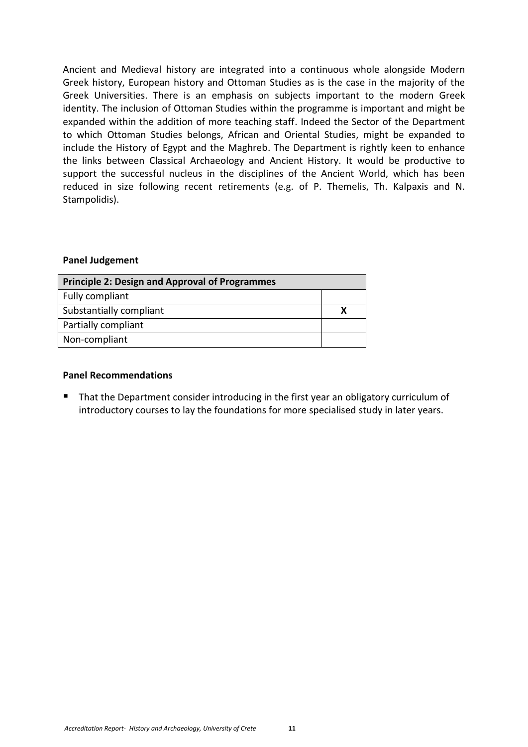Ancient and Medieval history are integrated into a continuous whole alongside Modern Greek history, European history and Ottoman Studies as is the case in the majority of the Greek Universities. There is an emphasis on subjects important to the modern Greek identity. The inclusion of Ottoman Studies within the programme is important and might be expanded within the addition of more teaching staff. Indeed the Sector of the Department to which Ottoman Studies belongs, African and Oriental Studies, might be expanded to include the History of Egypt and the Maghreb. The Department is rightly keen to enhance the links between Classical Archaeology and Ancient History. It would be productive to support the successful nucleus in the disciplines of the Ancient World, which has been reduced in size following recent retirements (e.g. of P. Themelis, Th. Kalpaxis and N. Stampolidis).

#### **Panel Judgement**

| <b>Principle 2: Design and Approval of Programmes</b> |  |
|-------------------------------------------------------|--|
| Fully compliant                                       |  |
| Substantially compliant                               |  |
| Partially compliant                                   |  |
| Non-compliant                                         |  |

#### **Panel Recommendations**

 That the Department consider introducing in the first year an obligatory curriculum of introductory courses to lay the foundations for more specialised study in later years.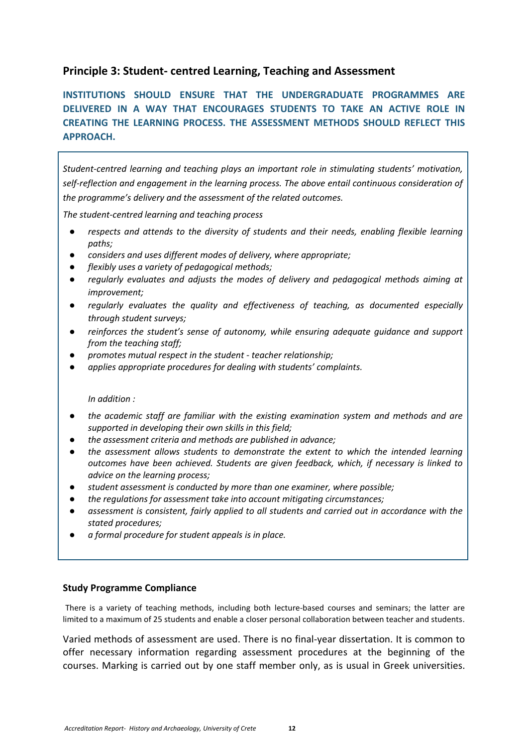# <span id="page-11-0"></span>**Principle 3: Student- centred Learning, Teaching and Assessment**

**INSTITUTIONS SHOULD ENSURE THAT THE UNDERGRADUATE PROGRAMMES ARE DELIVERED IN A WAY THAT ENCOURAGES STUDENTS TO TAKE AN ACTIVE ROLE IN CREATING THE LEARNING PROCESS. THE ASSESSMENT METHODS SHOULD REFLECT THIS APPROACH.**

*Student-centred learning and teaching plays an important role in stimulating students' motivation, self-reflection and engagement in the learning process. The above entail continuous consideration of the programme's delivery and the assessment of the related outcomes.*

*The student-centred learning and teaching process*

- respects and attends to the diversity of students and their needs, enabling flexible learning *paths;*
- *considers and uses different modes of delivery, where appropriate;*
- flexibly uses a variety of pedagogical methods;
- regularly evaluates and adjusts the modes of delivery and pedagogical methods aiming at *improvement;*
- regularly evaluates the quality and effectiveness of teaching, as documented especially *through student surveys;*
- *reinforces the student's sense of autonomy, while ensuring adequate guidance and support from the teaching staff;*
- *promotes mutual respect in the student - teacher relationship;*
- *applies appropriate procedures for dealing with students' complaints.*

#### *In addition :*

- *the academic staff are familiar with the existing examination system and methods and are supported in developing their own skills in this field;*
- *the assessment criteria and methods are published in advance;*
- *the assessment allows students to demonstrate the extent to which the intended learning outcomes have been achieved. Students are given feedback, which, if necessary is linked to advice on the learning process;*
- *student assessment is conducted by more than one examiner, where possible;*
- *the regulations for assessment take into account mitigating circumstances;*
- assessment is consistent, fairly applied to all students and carried out in accordance with the *stated procedures;*
- $a$  formal procedure for student appeals is in place.

#### **Study Programme Compliance**

There is a variety of teaching methods, including both lecture-based courses and seminars; the latter are limited to a maximum of 25 students and enable a closer personal collaboration between teacher and students.

Varied methods of assessment are used. There is no final-year dissertation. It is common to offer necessary information regarding assessment procedures at the beginning of the courses. Marking is carried out by one staff member only, as is usual in Greek universities.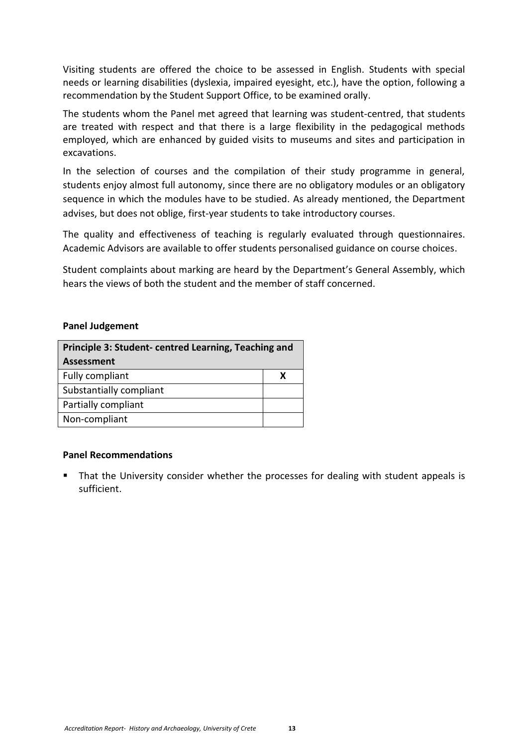Visiting students are offered the choice to be assessed in English. Students with special needs or learning disabilities (dyslexia, impaired eyesight, etc.), have the option, following a recommendation by the Student Support Office, to be examined orally.

The students whom the Panel met agreed that learning was student-centred, that students are treated with respect and that there is a large flexibility in the pedagogical methods employed, which are enhanced by guided visits to museums and sites and participation in excavations.

In the selection of courses and the compilation of their study programme in general, students enjoy almost full autonomy, since there are no obligatory modules or an obligatory sequence in which the modules have to be studied. As already mentioned, the Department advises, but does not oblige, first-year students to take introductory courses.

The quality and effectiveness of teaching is regularly evaluated through questionnaires. Academic Advisors are available to offer students personalised guidance on course choices.

Student complaints about marking are heard by the Department's General Assembly, which hears the views of both the student and the member of staff concerned.

## **Panel Judgement**

| Principle 3: Student- centred Learning, Teaching and |   |
|------------------------------------------------------|---|
| <b>Assessment</b>                                    |   |
| Fully compliant                                      | х |
| Substantially compliant                              |   |
| Partially compliant                                  |   |
| Non-compliant                                        |   |

## **Panel Recommendations**

 That the University consider whether the processes for dealing with student appeals is sufficient.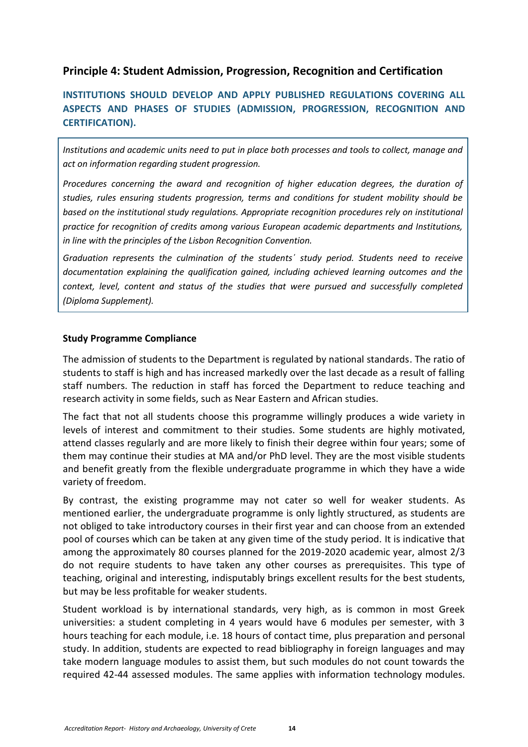# <span id="page-13-0"></span>**Principle 4: Student Admission, Progression, Recognition and Certification**

# **INSTITUTIONS SHOULD DEVELOP AND APPLY PUBLISHED REGULATIONS COVERING ALL ASPECTS AND PHASES OF STUDIES (ADMISSION, PROGRESSION, RECOGNITION AND CERTIFICATION).**

*Institutions and academic units need to put in place both processes and tools to collect, manage and act on information regarding student progression.*

*Procedures concerning the award and recognition of higher education degrees, the duration of studies, rules ensuring students progression, terms and conditions for student mobility should be based on the institutional study regulations. Appropriate recognition procedures rely on institutional practice for recognition of credits among various European academic departments and Institutions, in line with the principles of the Lisbon Recognition Convention.*

*Graduation represents the culmination of the students΄ study period. Students need to receive documentation explaining the qualification gained, including achieved learning outcomes and the context, level, content and status of the studies that were pursued and successfully completed (Diploma Supplement).*

## **Study Programme Compliance**

The admission of students to the Department is regulated by national standards. The ratio of students to staff is high and has increased markedly over the last decade as a result of falling staff numbers. The reduction in staff has forced the Department to reduce teaching and research activity in some fields, such as Near Eastern and African studies.

The fact that not all students choose this programme willingly produces a wide variety in levels of interest and commitment to their studies. Some students are highly motivated, attend classes regularly and are more likely to finish their degree within four years; some of them may continue their studies at MA and/or PhD level. They are the most visible students and benefit greatly from the flexible undergraduate programme in which they have a wide variety of freedom.

By contrast, the existing programme may not cater so well for weaker students. As mentioned earlier, the undergraduate programme is only lightly structured, as students are not obliged to take introductory courses in their first year and can choose from an extended pool of courses which can be taken at any given time of the study period. It is indicative that among the approximately 80 courses planned for the 2019-2020 academic year, almost 2/3 do not require students to have taken any other courses as prerequisites. This type of teaching, original and interesting, indisputably brings excellent results for the best students, but may be less profitable for weaker students.

Student workload is by international standards, very high, as is common in most Greek universities: a student completing in 4 years would have 6 modules per semester, with 3 hours teaching for each module, i.e. 18 hours of contact time, plus preparation and personal study. In addition, students are expected to read bibliography in foreign languages and may take modern language modules to assist them, but such modules do not count towards the required 42-44 assessed modules. The same applies with information technology modules.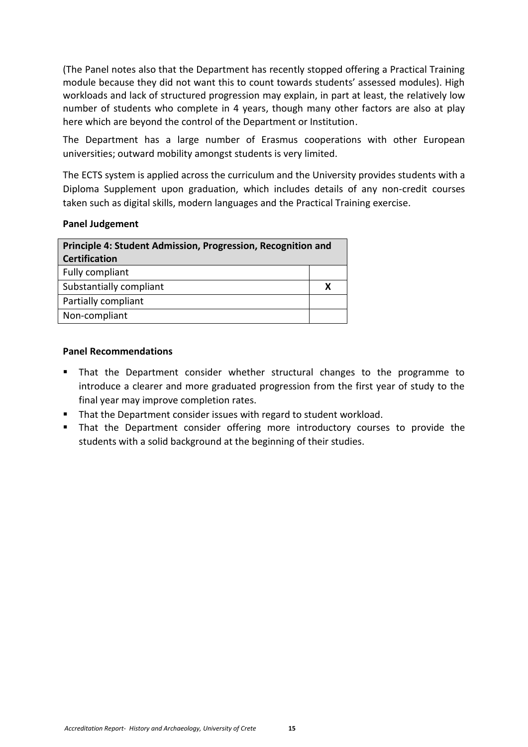(The Panel notes also that the Department has recently stopped offering a Practical Training module because they did not want this to count towards students' assessed modules). High workloads and lack of structured progression may explain, in part at least, the relatively low number of students who complete in 4 years, though many other factors are also at play here which are beyond the control of the Department or Institution.

The Department has a large number of Erasmus cooperations with other European universities; outward mobility amongst students is very limited.

The ECTS system is applied across the curriculum and the University provides students with a Diploma Supplement upon graduation, which includes details of any non-credit courses taken such as digital skills, modern languages and the Practical Training exercise.

## **Panel Judgement**

| Principle 4: Student Admission, Progression, Recognition and |   |
|--------------------------------------------------------------|---|
| <b>Certification</b>                                         |   |
| Fully compliant                                              |   |
| Substantially compliant                                      | x |
| Partially compliant                                          |   |
| Non-compliant                                                |   |
|                                                              |   |

## **Panel Recommendations**

- That the Department consider whether structural changes to the programme to introduce a clearer and more graduated progression from the first year of study to the final year may improve completion rates.
- That the Department consider issues with regard to student workload.
- That the Department consider offering more introductory courses to provide the students with a solid background at the beginning of their studies.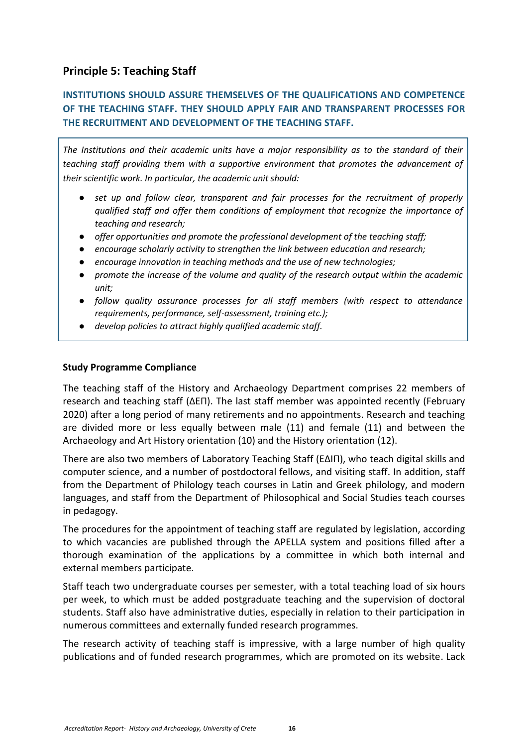# <span id="page-15-0"></span>**Principle 5: Teaching Staff**

# **INSTITUTIONS SHOULD ASSURE THEMSELVES OF THE QUALIFICATIONS AND COMPETENCE OF THE TEACHING STAFF. THEY SHOULD APPLY FAIR AND TRANSPARENT PROCESSES FOR THE RECRUITMENT AND DEVELOPMENT OF THE TEACHING STAFF.**

*The Institutions and their academic units have a major responsibility as to the standard of their teaching staff providing them with a supportive environment that promotes the advancement of their scientific work. In particular, the academic unit should:*

- *set up and follow clear, transparent and fair processes for the recruitment of properly qualified staff and offer them conditions of employment that recognize the importance of teaching and research;*
- *offer opportunities and promote the professional development of the teaching staff;*
- *encourage scholarly activity to strengthen the link between education and research;*
- *encourage innovation in teaching methods and the use of new technologies;*
- *promote the increase of the volume and quality of the research output within the academic unit;*
- *follow quality assurance processes for all staff members (with respect to attendance requirements, performance, self-assessment, training etc.);*
- *develop policies to attract highly qualified academic staff.*

## **Study Programme Compliance**

The teaching staff of the History and Archaeology Department comprises 22 members of research and teaching staff (ΔΕΠ). The last staff member was appointed recently (February 2020) after a long period of many retirements and no appointments. Research and teaching are divided more or less equally between male (11) and female (11) and between the Archaeology and Art History orientation (10) and the History orientation (12).

There are also two members of Laboratory Teaching Staff (ΕΔΙΠ), who teach digital skills and computer science, and a number of postdoctoral fellows, and visiting staff. In addition, staff from the Department of Philology teach courses in Latin and Greek philology, and modern languages, and staff from the Department of Philosophical and Social Studies teach courses in pedagogy.

The procedures for the appointment of teaching staff are regulated by legislation, according to which vacancies are published through the APELLA system and positions filled after a thorough examination of the applications by a committee in which both internal and external members participate.

Staff teach two undergraduate courses per semester, with a total teaching load of six hours per week, to which must be added postgraduate teaching and the supervision of doctoral students. Staff also have administrative duties, especially in relation to their participation in numerous committees and externally funded research programmes.

The research activity of teaching staff is impressive, with a large number of high quality publications and of funded research programmes, which are promoted on its website. Lack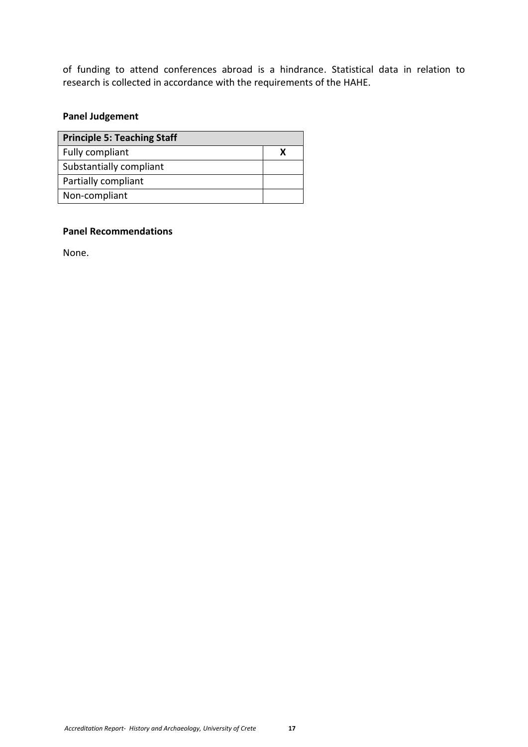of funding to attend conferences abroad is a hindrance. Statistical data in relation to research is collected in accordance with the requirements of the HAHE.

# **Panel Judgement**

| <b>Principle 5: Teaching Staff</b> |  |
|------------------------------------|--|
| Fully compliant                    |  |
| Substantially compliant            |  |
| Partially compliant                |  |
| Non-compliant                      |  |

## **Panel Recommendations**

<span id="page-16-0"></span>None.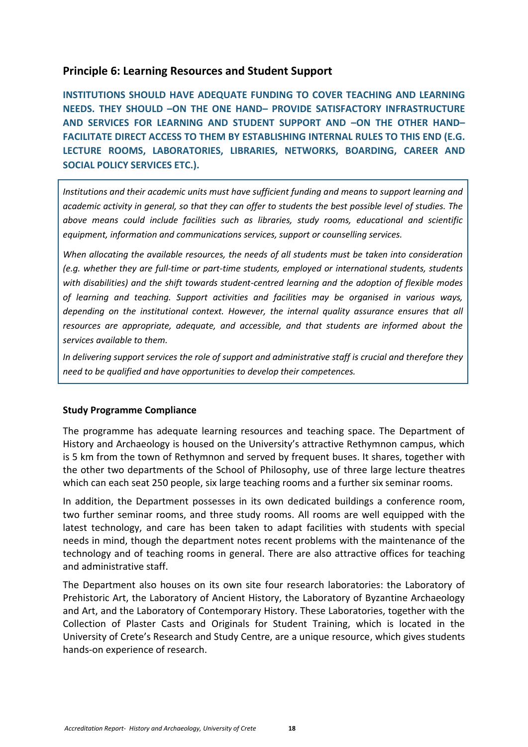## **Principle 6: Learning Resources and Student Support**

**INSTITUTIONS SHOULD HAVE ADEQUATE FUNDING TO COVER TEACHING AND LEARNING NEEDS. THEY SHOULD –ON THE ONE HAND– PROVIDE SATISFACTORY INFRASTRUCTURE AND SERVICES FOR LEARNING AND STUDENT SUPPORT AND –ON THE OTHER HAND– FACILITATE DIRECT ACCESS TO THEM BY ESTABLISHING INTERNAL RULES TO THIS END (E.G. LECTURE ROOMS, LABORATORIES, LIBRARIES, NETWORKS, BOARDING, CAREER AND SOCIAL POLICY SERVICES ETC.).**

*Institutions and their academic units must have sufficient funding and means to support learning and academic activity in general, so that they can offer to students the best possible level of studies. The above means could include facilities such as libraries, study rooms, educational and scientific equipment, information and communications services, support or counselling services.*

*When allocating the available resources, the needs of all students must be taken into consideration (e.g. whether they are full-time or part-time students, employed or international students, students with disabilities) and the shift towards student-centred learning and the adoption of flexible modes of learning and teaching. Support activities and facilities may be organised in various ways, depending on the institutional context. However, the internal quality assurance ensures that all resources are appropriate, adequate, and accessible, and that students are informed about the services available to them.*

*In delivering support services the role of support and administrative staff is crucial and therefore they need to be qualified and have opportunities to develop their competences.*

## **Study Programme Compliance**

The programme has adequate learning resources and teaching space. The Department of History and Archaeology is housed on the University's attractive Rethymnon campus, which is 5 km from the town of Rethymnon and served by frequent buses. It shares, together with the other two departments of the School of Philosophy, use of three large lecture theatres which can each seat 250 people, six large teaching rooms and a further six seminar rooms.

In addition, the Department possesses in its own dedicated buildings a conference room, two further seminar rooms, and three study rooms. All rooms are well equipped with the latest technology, and care has been taken to adapt facilities with students with special needs in mind, though the department notes recent problems with the maintenance of the technology and of teaching rooms in general. There are also attractive offices for teaching and administrative staff.

The Department also houses on its own site four research laboratories: the Laboratory of Prehistoric Art, the Laboratory of Ancient History, the Laboratory of Byzantine Archaeology and Art, and the Laboratory of Contemporary History. These Laboratories, together with the Collection of Plaster Casts and Originals for Student Training, which is located in the University of Crete's Research and Study Centre, are a unique resource, which gives students hands-on experience of research.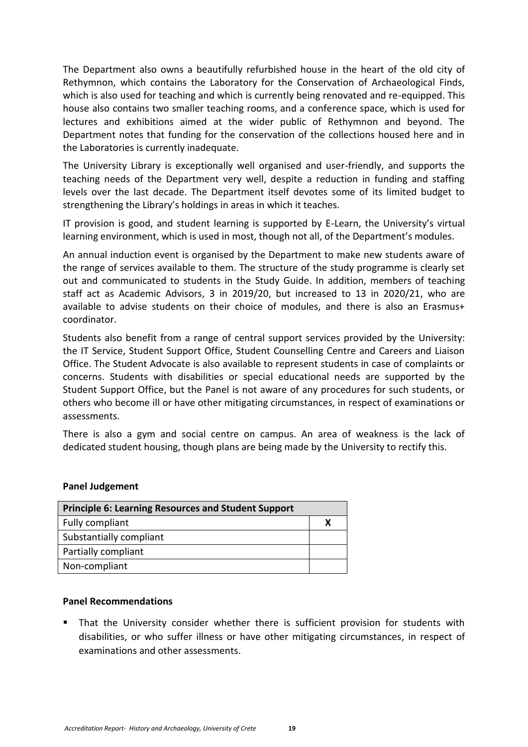The Department also owns a beautifully refurbished house in the heart of the old city of Rethymnon, which contains the Laboratory for the Conservation of Archaeological Finds, which is also used for teaching and which is currently being renovated and re-equipped. This house also contains two smaller teaching rooms, and a conference space, which is used for lectures and exhibitions aimed at the wider public of Rethymnon and beyond. The Department notes that funding for the conservation of the collections housed here and in the Laboratories is currently inadequate.

The University Library is exceptionally well organised and user-friendly, and supports the teaching needs of the Department very well, despite a reduction in funding and staffing levels over the last decade. The Department itself devotes some of its limited budget to strengthening the Library's holdings in areas in which it teaches.

IT provision is good, and student learning is supported by E-Learn, the University's virtual learning environment, which is used in most, though not all, of the Department's modules.

An annual induction event is organised by the Department to make new students aware of the range of services available to them. The structure of the study programme is clearly set out and communicated to students in the Study Guide. In addition, members of teaching staff act as Academic Advisors, 3 in 2019/20, but increased to 13 in 2020/21, who are available to advise students on their choice of modules, and there is also an Erasmus+ coordinator.

Students also benefit from a range of central support services provided by the University: the IT Service, Student Support Office, Student Counselling Centre and Careers and Liaison Office. The Student Advocate is also available to represent students in case of complaints or concerns. Students with disabilities or special educational needs are supported by the Student Support Office, but the Panel is not aware of any procedures for such students, or others who become ill or have other mitigating circumstances, in respect of examinations or assessments.

There is also a gym and social centre on campus. An area of weakness is the lack of dedicated student housing, though plans are being made by the University to rectify this.

#### **Panel Judgement**

| <b>Principle 6: Learning Resources and Student Support</b> |  |
|------------------------------------------------------------|--|
| Fully compliant                                            |  |
| Substantially compliant                                    |  |
| Partially compliant                                        |  |
| Non-compliant                                              |  |

#### **Panel Recommendations**

 That the University consider whether there is sufficient provision for students with disabilities, or who suffer illness or have other mitigating circumstances, in respect of examinations and other assessments.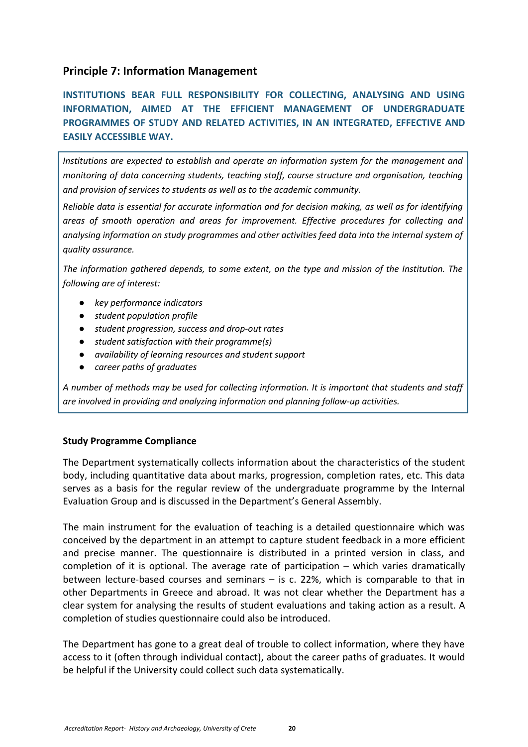## <span id="page-19-0"></span>**Principle 7: Information Management**

**INSTITUTIONS BEAR FULL RESPONSIBILITY FOR COLLECTING, ANALYSING AND USING INFORMATION, AIMED AT THE EFFICIENT MANAGEMENT OF UNDERGRADUATE PROGRAMMES OF STUDY AND RELATED ACTIVITIES, IN AN INTEGRATED, EFFECTIVE AND EASILY ACCESSIBLE WAY.**

*Institutions are expected to establish and operate an information system for the management and monitoring of data concerning students, teaching staff, course structure and organisation, teaching and provision of services to students as well as to the academic community.*

*Reliable data is essential for accurate information and for decision making, as well as for identifying areas of smooth operation and areas for improvement. Effective procedures for collecting and analysing information on study programmes and other activities feed data into the internal system of quality assurance.*

*The information gathered depends, to some extent, on the type and mission of the Institution. The following are of interest:*

- *key performance indicators*
- *student population profile*
- *student progression, success and drop-out rates*
- *student satisfaction with their programme(s)*
- *availability of learning resources and student support*
- *career paths of graduates*

*A number of methods may be used for collecting information. It is important that students and staff are involved in providing and analyzing information and planning follow-up activities.*

## **Study Programme Compliance**

The Department systematically collects information about the characteristics of the student body, including quantitative data about marks, progression, completion rates, etc. This data serves as a basis for the regular review of the undergraduate programme by the Internal Evaluation Group and is discussed in the Department's General Assembly.

The main instrument for the evaluation of teaching is a detailed questionnaire which was conceived by the department in an attempt to capture student feedback in a more efficient and precise manner. The questionnaire is distributed in a printed version in class, and completion of it is optional. The average rate of participation – which varies dramatically between lecture-based courses and seminars – is c. 22%, which is comparable to that in other Departments in Greece and abroad. It was not clear whether the Department has a clear system for analysing the results of student evaluations and taking action as a result. A completion of studies questionnaire could also be introduced.

The Department has gone to a great deal of trouble to collect information, where they have access to it (often through individual contact), about the career paths of graduates. It would be helpful if the University could collect such data systematically.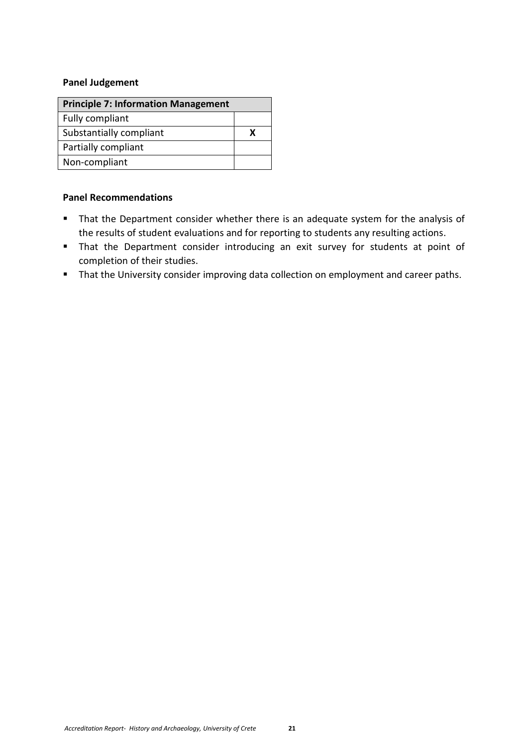## **Panel Judgement**

| <b>Principle 7: Information Management</b> |  |
|--------------------------------------------|--|
| Fully compliant                            |  |
| Substantially compliant                    |  |
| Partially compliant                        |  |
| Non-compliant                              |  |

## **Panel Recommendations**

- **That the Department consider whether there is an adequate system for the analysis of** the results of student evaluations and for reporting to students any resulting actions.
- That the Department consider introducing an exit survey for students at point of completion of their studies.
- **That the University consider improving data collection on employment and career paths.**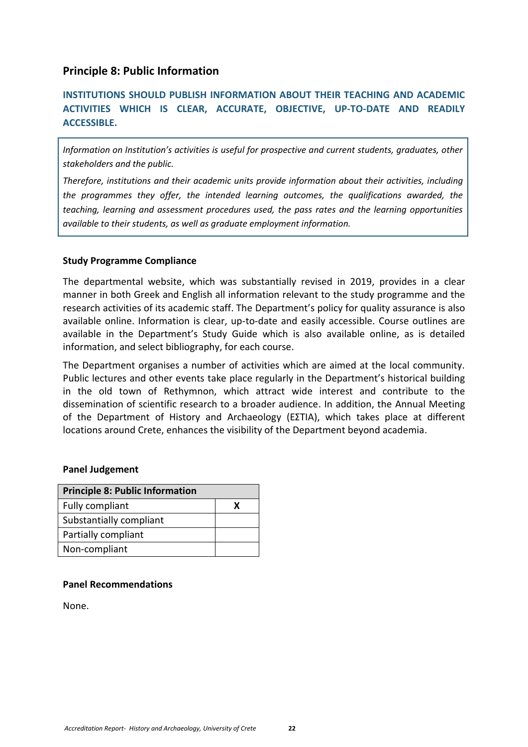## <span id="page-21-0"></span>**Principle 8: Public Information**

# **INSTITUTIONS SHOULD PUBLISH INFORMATION ABOUT THEIR TEACHING AND ACADEMIC ACTIVITIES WHICH IS CLEAR, ACCURATE, OBJECTIVE, UP-TO-DATE AND READILY ACCESSIBLE.**

*Information on Institution's activities is useful for prospective and current students, graduates, other stakeholders and the public.*

*Therefore, institutions and their academic units provide information about their activities, including the programmes they offer, the intended learning outcomes, the qualifications awarded, the teaching, learning and assessment procedures used, the pass rates and the learning opportunities available to their students, as well as graduate employment information.*

## **Study Programme Compliance**

The departmental website, which was substantially revised in 2019, provides in a clear manner in both Greek and English all information relevant to the study programme and the research activities of its academic staff. The Department's policy for quality assurance is also available online. Information is clear, up-to-date and easily accessible. Course outlines are available in the Department's Study Guide which is also available online, as is detailed information, and select bibliography, for each course.

The Department organises a number of activities which are aimed at the local community. Public lectures and other events take place regularly in the Department's historical building in the old town of Rethymnon, which attract wide interest and contribute to the dissemination of scientific research to a broader audience. In addition, the Annual Meeting of the Department of History and Archaeology (ΕΣΤΙΑ), which takes place at different locations around Crete, enhances the visibility of the Department beyond academia.

#### **Panel Judgement**

| <b>Principle 8: Public Information</b> |  |
|----------------------------------------|--|
| Fully compliant                        |  |
| Substantially compliant                |  |
| Partially compliant                    |  |
| Non-compliant                          |  |

#### **Panel Recommendations**

None.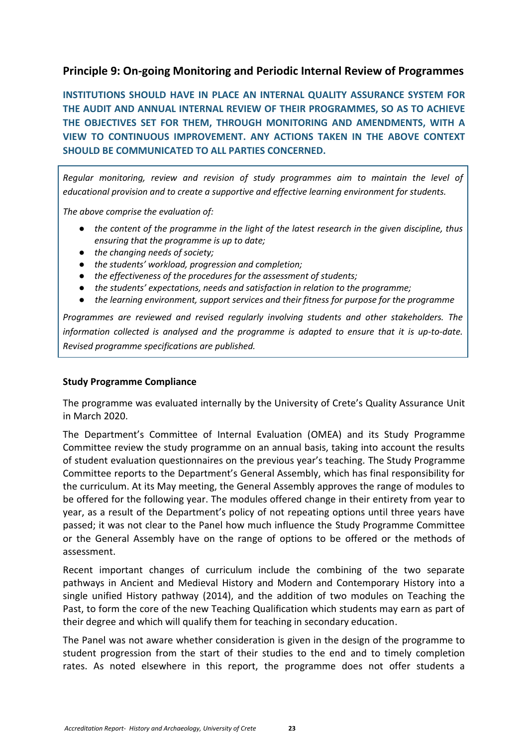# <span id="page-22-0"></span>**Principle 9: On-going Monitoring and Periodic Internal Review of Programmes**

**INSTITUTIONS SHOULD HAVE IN PLACE AN INTERNAL QUALITY ASSURANCE SYSTEM FOR THE AUDIT AND ANNUAL INTERNAL REVIEW OF THEIR PROGRAMMES, SO AS TO ACHIEVE THE OBJECTIVES SET FOR THEM, THROUGH MONITORING AND AMENDMENTS, WITH A VIEW TO CONTINUOUS IMPROVEMENT. ANY ACTIONS TAKEN IN THE ABOVE CONTEXT SHOULD BE COMMUNICATED TO ALL PARTIES CONCERNED.**

*Regular monitoring, review and revision of study programmes aim to maintain the level of educational provision and to create a supportive and effective learning environment for students.*

*The above comprise the evaluation of:*

- *the content of the programme in the light of the latest research in the given discipline, thus ensuring that the programme is up to date;*
- *the changing needs of society;*
- *the students' workload, progression and completion;*
- *the effectiveness of the procedures for the assessment of students;*
- *the students' expectations, needs and satisfaction in relation to the programme;*
- *the learning environment, support services and their fitness for purpose for the programme*

*Programmes are reviewed and revised regularly involving students and other stakeholders. The information collected is analysed and the programme is adapted to ensure that it is up-to-date. Revised programme specifications are published.*

## **Study Programme Compliance**

The programme was evaluated internally by the University of Crete's Quality Assurance Unit in March 2020.

The Department's Committee of Internal Evaluation (ΟΜΕΑ) and its Study Programme Committee review the study programme on an annual basis, taking into account the results of student evaluation questionnaires on the previous year's teaching. The Study Programme Committee reports to the Department's General Assembly, which has final responsibility for the curriculum. At its May meeting, the General Assembly approves the range of modules to be offered for the following year. The modules offered change in their entirety from year to year, as a result of the Department's policy of not repeating options until three years have passed; it was not clear to the Panel how much influence the Study Programme Committee or the General Assembly have on the range of options to be offered or the methods of assessment.

Recent important changes of curriculum include the combining of the two separate pathways in Ancient and Medieval History and Modern and Contemporary History into a single unified History pathway (2014), and the addition of two modules on Teaching the Past, to form the core of the new Teaching Qualification which students may earn as part of their degree and which will qualify them for teaching in secondary education.

The Panel was not aware whether consideration is given in the design of the programme to student progression from the start of their studies to the end and to timely completion rates. As noted elsewhere in this report, the programme does not offer students a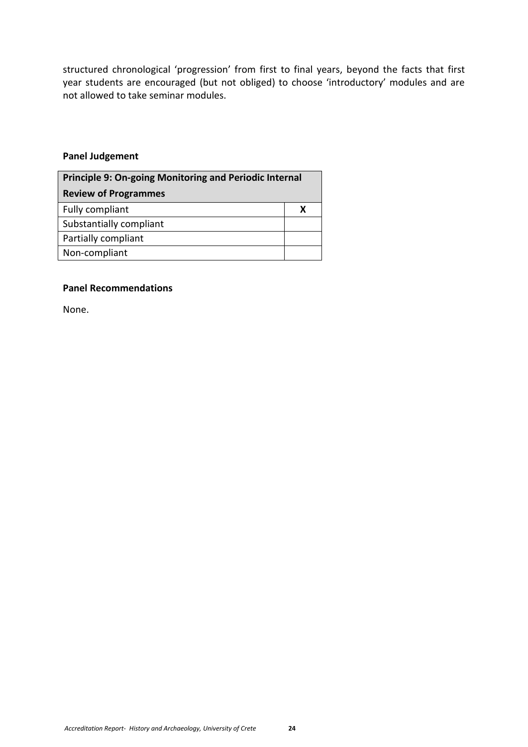structured chronological 'progression' from first to final years, beyond the facts that first year students are encouraged (but not obliged) to choose 'introductory' modules and are not allowed to take seminar modules.

## **Panel Judgement**

<span id="page-23-0"></span>

| <b>Principle 9: On-going Monitoring and Periodic Internal</b> |   |
|---------------------------------------------------------------|---|
| <b>Review of Programmes</b>                                   |   |
| Fully compliant                                               | x |
| Substantially compliant                                       |   |
| Partially compliant                                           |   |
| Non-compliant                                                 |   |

## **Panel Recommendations**

None.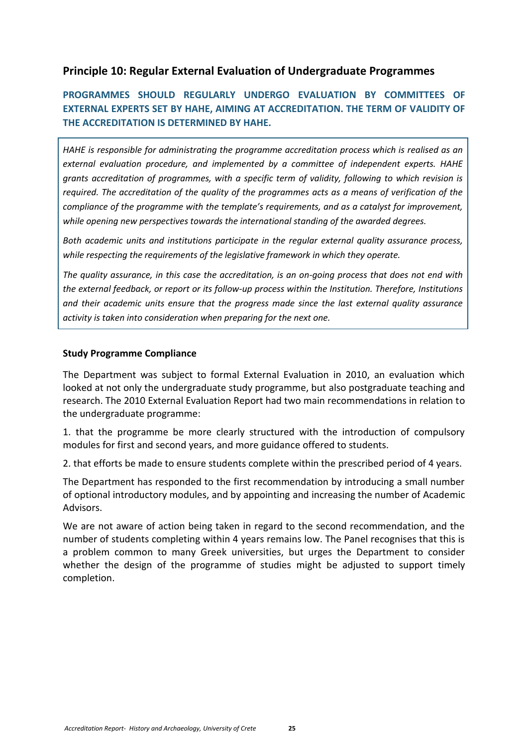# <span id="page-24-0"></span>**Principle 10: Regular External Evaluation of Undergraduate Programmes**

# **PROGRAMMES SHOULD REGULARLY UNDERGO EVALUATION BY COMMITTEES OF EXTERNAL EXPERTS SET BY HAHE, AIMING AT ACCREDITATION. THE TERM OF VALIDITY OF THE ACCREDITATION IS DETERMINED BY HAHE.**

*HAHE is responsible for administrating the programme accreditation process which is realised as an external evaluation procedure, and implemented by a committee of independent experts. HAHE grants accreditation of programmes, with a specific term of validity, following to which revision is required. The accreditation of the quality of the programmes acts as a means of verification of the compliance of the programme with the template's requirements, and as a catalyst for improvement, while opening new perspectives towards the international standing of the awarded degrees.*

*Both academic units and institutions participate in the regular external quality assurance process, while respecting the requirements of the legislative framework in which they operate.*

*The quality assurance, in this case the accreditation, is an on-going process that does not end with the external feedback, or report or its follow-up process within the Institution. Therefore, Institutions and their academic units ensure that the progress made since the last external quality assurance activity is taken into consideration when preparing for the next one.*

## **Study Programme Compliance**

The Department was subject to formal External Evaluation in 2010, an evaluation which looked at not only the undergraduate study programme, but also postgraduate teaching and research. The 2010 External Evaluation Report had two main recommendations in relation to the undergraduate programme:

1. that the programme be more clearly structured with the introduction of compulsory modules for first and second years, and more guidance offered to students.

2. that efforts be made to ensure students complete within the prescribed period of 4 years.

The Department has responded to the first recommendation by introducing a small number of optional introductory modules, and by appointing and increasing the number of Academic Advisors.

We are not aware of action being taken in regard to the second recommendation, and the number of students completing within 4 years remains low. The Panel recognises that this is a problem common to many Greek universities, but urges the Department to consider whether the design of the programme of studies might be adjusted to support timely completion.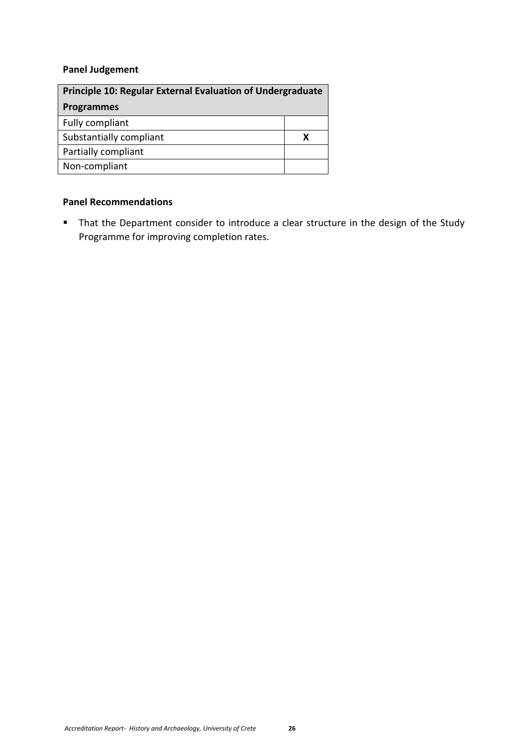# **Panel Judgement**

<span id="page-25-0"></span>

| <b>Principle 10: Regular External Evaluation of Undergraduate</b> |   |
|-------------------------------------------------------------------|---|
| <b>Programmes</b>                                                 |   |
| Fully compliant                                                   |   |
| Substantially compliant                                           | х |
| Partially compliant                                               |   |
| Non-compliant                                                     |   |

## **Panel Recommendations**

 That the Department consider to introduce a clear structure in the design of the Study Programme for improving completion rates.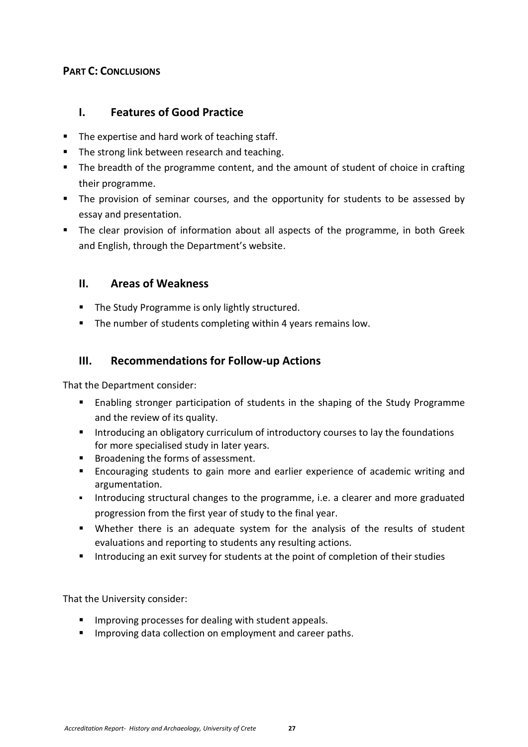## <span id="page-26-0"></span>**PART C: CONCLUSIONS**

# <span id="page-26-1"></span>**I. Features of Good Practice**

- The expertise and hard work of teaching staff.
- The strong link between research and teaching.
- The breadth of the programme content, and the amount of student of choice in crafting their programme.
- The provision of seminar courses, and the opportunity for students to be assessed by essay and presentation.
- **The clear provision of information about all aspects of the programme, in both Greek** and English, through the Department's website.

# <span id="page-26-2"></span>**II. Areas of Weakness**

- **The Study Programme is only lightly structured.**
- **The number of students completing within 4 years remains low.**

# <span id="page-26-3"></span>**III. Recommendations for Follow-up Actions**

That the Department consider:

- Enabling stronger participation of students in the shaping of the Study Programme and the review of its quality.
- Introducing an obligatory curriculum of introductory courses to lay the foundations for more specialised study in later years.
- **Broadening the forms of assessment.**
- Encouraging students to gain more and earlier experience of academic writing and argumentation.
- Introducing structural changes to the programme, i.e. a clearer and more graduated progression from the first year of study to the final year.
- Whether there is an adequate system for the analysis of the results of student evaluations and reporting to students any resulting actions.
- Introducing an exit survey for students at the point of completion of their studies

That the University consider:

- **IMPROVING PROCESSES for dealing with student appeals.**
- **IMPROPIED 19 Improving data collection on employment and career paths.**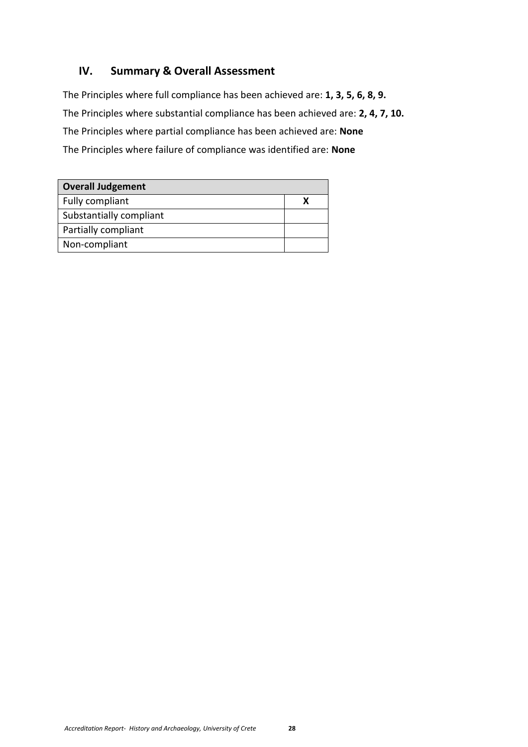# <span id="page-27-0"></span>**IV. Summary & Overall Assessment**

The Principles where full compliance has been achieved are: **1, 3, 5, 6, 8, 9.** The Principles where substantial compliance has been achieved are: **2, 4, 7, 10.** The Principles where partial compliance has been achieved are: **None** The Principles where failure of compliance was identified are: **None**

| <b>Overall Judgement</b> |  |
|--------------------------|--|
| Fully compliant          |  |
| Substantially compliant  |  |
| Partially compliant      |  |
| Non-compliant            |  |